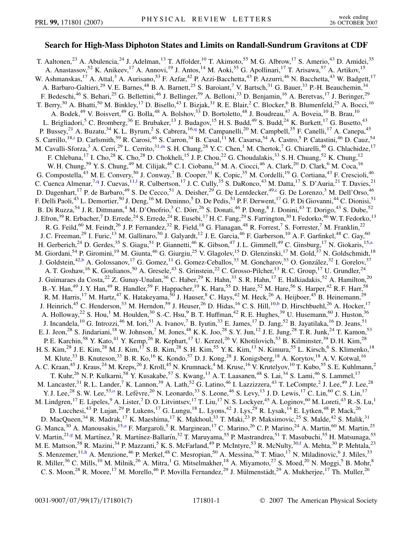## **Search for High-Mass Diphoton States and Limits on Randall-Sundrum Gravitons at CDF**

<span id="page-0-9"></span><span id="page-0-8"></span><span id="page-0-7"></span><span id="page-0-6"></span><span id="page-0-5"></span><span id="page-0-4"></span><span id="page-0-3"></span><span id="page-0-2"></span><span id="page-0-1"></span><span id="page-0-0"></span>T. Aaltonen,<sup>23</sup> A. Abulencia,<sup>24</sup> J. Adelman,<sup>13</sup> T. Affolder,<sup>10</sup> T. Akimoto,<sup>55</sup> M. G. Albrow,<sup>17</sup> S. Amerio,<sup>43</sup> D. Amidei,<sup>35</sup> A. Anastassov,<sup>52</sup> K. Anikeev,<sup>17</sup> A. Annovi,<sup>19</sup> J. Antos,<sup>14</sup> M. Aoki,<sup>55</sup> G. Apollinari,<sup>17</sup> T. Arisawa,<sup>57</sup> A. Artikov,<sup>15</sup> W. Ashmanskas,<sup>17</sup> A. Attal,<sup>3</sup> A. Aurisano,<sup>53</sup> F. Azfar,<sup>42</sup> P. Azzi-Bacchetta,<sup>43</sup> P. Azzurri,<sup>46</sup> N. Bacchetta,<sup>43</sup> W. Badgett,<sup>17</sup> A. Barbaro-Galtieri,<sup>29</sup> V. E. Barnes,<sup>48</sup> B. A. Barnett,<sup>25</sup> S. Baroiant,<sup>7</sup> V. Bartsch,<sup>31</sup> G. Bauer,<sup>33</sup> P.-H. Beauchemin,<sup>34</sup> F. Bedeschi,<sup>46</sup> S. Behari,<sup>25</sup> G. Bellettini,<sup>46</sup> J. Bellinger,<sup>59</sup> A. Belloni,<sup>33</sup> D. Benjamin,<sup>16</sup> A. Beretvas,<sup>17</sup> J. Beringer,<sup>29</sup> T. Berry,<sup>30</sup> A. Bhatti,<sup>50</sup> M. Binkley,<sup>17</sup> D. Bisello,<sup>43</sup> I. Bizjak,<sup>31</sup> R. E. Blair,<sup>2</sup> C. Blocker,<sup>6</sup> B. Blumenfeld,<sup>25</sup> A. Bocci,<sup>16</sup> A. Bodek,<sup>49</sup> V. Boisvert,<sup>49</sup> G. Bolla,<sup>48</sup> A. Bolshov,<sup>33</sup> D. Bortoletto,<sup>48</sup> J. Boudreau,<sup>47</sup> A. Boveia,<sup>10</sup> B. Brau,<sup>10</sup> L. Brigliadori,<sup>5</sup> C. Bromberg,<sup>36</sup> E. Brubaker,<sup>13</sup> J. Budagov,<sup>15</sup> H. S. Budd,<sup>49</sup> S. Budd,<sup>24</sup> K. Burkett,<sup>17</sup> G. Busetto,<sup>43</sup> P. Bussey,<sup>21</sup> A. Buzatu,<sup>34</sup> K. L. Byrum,<sup>2</sup> S. Cabrera,<sup>16,[q](#page-6-0)</sup> M. Campanelli,<sup>20</sup> M. Campbell,<sup>35</sup> F. Canelli,<sup>17</sup> A. Canepa,<sup>45</sup> S. Carrillo,<sup>18[,i](#page-6-1)</sup> D. Carlsmith,<sup>59</sup> R. Carosi,<sup>46</sup> S. Carron,<sup>34</sup> B. Casal,<sup>11</sup> M. Casarsa,<sup>54</sup> A. Castro,<sup>5</sup> P. Catastini,<sup>46</sup> D. Cauz,<sup>54</sup> M. Cavalli-Sforza,<sup>3</sup> A. Cerri,<sup>29</sup> L. Cerrito,<sup>31,[m](#page-6-2)</sup> S. H. Chang,<sup>28</sup> Y. C. Chen,<sup>1</sup> M. Chertok,<sup>7</sup> G. Chiarelli,<sup>46</sup> G. Chlachidze,<sup>17</sup> F. Chlebana,<sup>17</sup> I. Cho,<sup>28</sup> K. Cho,<sup>28</sup> D. Chokheli,<sup>15</sup> J. P. Chou,<sup>22</sup> G. Choudalakis,<sup>33</sup> S. H. Chuang,<sup>52</sup> K. Chung,<sup>12</sup> W. H. Chung,<sup>59</sup> Y. S. Chung,<sup>49</sup> M. Cilijak,<sup>46</sup> C. I. Ciobanu,<sup>24</sup> M. A. Ciocci,<sup>46</sup> A. Clark,<sup>20</sup> D. Clark,<sup>6</sup> M. Coca,<sup>16</sup> G. Compostella,<sup>43</sup> M. E. Convery,<sup>50</sup> J. Conway,<sup>7</sup> B. Cooper,<sup>31</sup> K. Copic,<sup>35</sup> M. Cordelli,<sup>19</sup> G. Cortiana,<sup>43</sup> F. Crescioli,<sup>46</sup> C. Cuenca Almenar,<sup>7[,q](#page-6-0)</sup> J. Cuevas,<sup>11,1</sup> R. Cu[l](#page-6-3)bertson,<sup>17</sup> J.C. Cully,<sup>35</sup> S. DaRonco,<sup>43</sup> M. Datta,<sup>17</sup> S. D'Auria,<sup>21</sup> T. Davies,<sup>21</sup> D. Dagenhart,<sup>17</sup> P. de Barbaro,<sup>49</sup> S. De Cecco,<sup>51</sup> A. Deisher,<sup>29</sup> G. De Lentdecker,<sup>49[,c](#page-6-4)</sup> G. De Lorenzo,<sup>3</sup> M. Dell'Orso,<sup>46</sup> F. Delli Paoli,<sup>43</sup> L. Demortier,<sup>50</sup> J. Deng,<sup>16</sup> M. Deninno,<sup>5</sup> D. De Pedis,<sup>51</sup> P. F. Derwent,<sup>17</sup> G. P. Di Giovanni,<sup>44</sup> C. Dionisi,<sup>51</sup> B. Di Ruzza,<sup>54</sup> J. R. Dittmann,<sup>4</sup> M. D'Onofrio,<sup>3</sup> C. Dörr,<sup>26</sup> S. Donati,<sup>46</sup> P. Dong,<sup>8</sup> J. Donini,<sup>43</sup> T. Dorigo,<sup>43</sup> S. Dube,<sup>52</sup> J. Efron,<sup>39</sup> R. Erbacher,<sup>7</sup> D. Errede,<sup>24</sup> S. Errede,<sup>24</sup> R. Eusebi,<sup>17</sup> H. C. Fang,<sup>29</sup> S. Farrington,<sup>30</sup> I. Fedorko,<sup>46</sup> W. T. Fedorko,<sup>13</sup> R. G. Feild,<sup>60</sup> M. Feindt,<sup>26</sup> J. P. Fernandez,<sup>32</sup> R. Field,<sup>18</sup> G. Flanagan,<sup>48</sup> R. Forrest,<sup>7</sup> S. Forrester,<sup>7</sup> M. Franklin,<sup>22</sup> J. C. Freeman,<sup>29</sup> I. Furic,<sup>13</sup> M. Gallinaro,<sup>50</sup> J. Galyardt,<sup>12</sup> J. E. Garcia,<sup>46</sup> F. Garberson,<sup>10</sup> A. F. Garfinkel,<sup>48</sup> C. Gay,<sup>60</sup> H. Gerberich,<sup>24</sup> D. Gerdes,<sup>35</sup> S. Giagu,<sup>51</sup> P. Giannetti,<sup>46</sup> K. Gibson,<sup>47</sup> J.L. Gimmell,<sup>49</sup> C. Ginsburg,<sup>17</sup> N. Giokaris,<sup>15[,a](#page-6-5)</sup> M. Giordani,<sup>54</sup> P. Giromini,<sup>19</sup> M. Giunta,<sup>46</sup> G. Giurgiu,<sup>25</sup> V. Glagolev,<sup>15</sup> D. Glenzinski,<sup>17</sup> M. Gold,<sup>37</sup> N. Goldschmidt,<sup>18</sup> J. Goldstein,<sup>42[,b](#page-6-6)</sup> A. Golossanov,<sup>17</sup> G. Gomez,<sup>11</sup> G. Gomez-Ceballos,<sup>33</sup> M. Goncharov,<sup>53</sup> O. González,<sup>32</sup> I. Gorelov,<sup>37</sup> A. T. Goshaw, <sup>16</sup> K. Goulianos, <sup>50</sup> A. Gresele, <sup>43</sup> S. Grinstein, <sup>22</sup> C. Grosso-Pilcher, <sup>13</sup> R. C. Group, <sup>17</sup> U. Grundler, <sup>24</sup> J. Guimaraes da Costa,<sup>22</sup> Z. Gunay-Unalan,<sup>36</sup> C. Haber,<sup>29</sup> K. Hahn,<sup>33</sup> S. R. Hahn,<sup>17</sup> E. Halkiadakis,<sup>52</sup> A. Hamilton,<sup>20</sup> B.-Y. Han,<sup>49</sup> J. Y. Han,<sup>49</sup> R. Handler,<sup>59</sup> F. Happacher,<sup>19</sup> K. Hara,<sup>55</sup> D. Hare,<sup>52</sup> M. Hare,<sup>56</sup> S. Harper,<sup>42</sup> R. F. Harr,<sup>58</sup> R. M. Harris,<sup>17</sup> M. Hartz,<sup>47</sup> K. Hatakeyama,<sup>50</sup> J. Hauser,<sup>8</sup> C. Hays,<sup>42</sup> M. Heck,<sup>26</sup> A. Heijboer,<sup>45</sup> B. Heinemann,<sup>29</sup> J. Heinrich,<sup>45</sup> C. Henderson,<sup>33</sup> M. Herndon,<sup>59</sup> J. Heuser,<sup>26</sup> D. Hidas,<sup>16</sup> C. S. Hill,<sup>10,[b](#page-6-6)</sup> D. Hirschbuehl,<sup>26</sup> A. Hocker,<sup>17</sup> A. Holloway,<sup>22</sup> S. Hou,<sup>1</sup> M. Houlden,<sup>30</sup> S.-C. Hsu,<sup>9</sup> B. T. Huffman,<sup>42</sup> R. E. Hughes,<sup>39</sup> U. Husemann,<sup>60</sup> J. Huston,<sup>36</sup> J. Incandela,  $^{10}$  G. Introzzi,  $^{46}$  M. Iori,  $^{51}$  A. Ivanov,  $^{7}$  B. Iyutin,  $^{33}$  E. James,  $^{17}$  D. Jang,  $^{52}$  B. Jayatilaka,  $^{16}$  D. Jeans,  $^{51}$ E. J. Jeon,<sup>28</sup> S. Jindariani,<sup>18</sup> W. Johnson,<sup>7</sup> M. Jones,<sup>48</sup> K. K. Joo,<sup>28</sup> S. Y. Jun,<sup>12</sup> J. E. Jung,<sup>28</sup> T. R. Junk,<sup>24</sup> T. Kamon,<sup>53</sup> P. E. Karchin,<sup>58</sup> Y. Kato,<sup>41</sup> Y. Kemp,<sup>26</sup> R. Kephart,<sup>17</sup> U. Kerzel,<sup>26</sup> V. Khotilovich,<sup>53</sup> B. Kilminster,<sup>39</sup> D. H. Kim,<sup>28</sup> H. S. Kim,<sup>28</sup> J. E. Kim,<sup>28</sup> M. J. Kim,<sup>17</sup> S. B. Kim,<sup>28</sup> S. H. Kim,<sup>55</sup> Y. K. Kim,<sup>13</sup> N. Kimura,<sup>55</sup> L. Kirsch,<sup>6</sup> S. Klimenko,<sup>18</sup> M. Klute,<sup>33</sup> B. Knuteson,<sup>33</sup> B. R. Ko,<sup>16</sup> K. Kondo,<sup>57</sup> D. J. Kong,<sup>28</sup> J. Konigsberg,<sup>18</sup> A. Korytov,<sup>18</sup> A. V. Kotwal,<sup>16</sup> A. C. Kraan,<sup>45</sup> J. Kraus,<sup>24</sup> M. Kreps,<sup>26</sup> J. Kroll,<sup>45</sup> N. Krumnack,<sup>4</sup> M. Kruse,<sup>16</sup> V. Krutelyov,<sup>10</sup> T. Kubo,<sup>55</sup> S. E. Kuhlmann,<sup>2</sup> T. Kuhr,<sup>26</sup> N. P. Kulkarni,<sup>58</sup> Y. Kusakabe,<sup>57</sup> S. Kwang,<sup>13</sup> A. T. Laasanen,<sup>48</sup> S. Lai,<sup>34</sup> S. Lami,<sup>46</sup> S. Lammel,<sup>17</sup> M. Lancaster,<sup>31</sup> R. L. Lander,<sup>7</sup> K. Lannon,<sup>39</sup> A. Lath,<sup>52</sup> G. Latino,<sup>46</sup> I. Lazzizzera,<sup>43</sup> T. LeCompte,<sup>2</sup> J. Lee,<sup>49</sup> J. Lee,<sup>28</sup> Y. J. Lee,<sup>28</sup> S. W. Lee,<sup>53,[o](#page-6-7)</sup> R. Lefèvre,<sup>20</sup> N. Leonardo,<sup>33</sup> S. Leone,<sup>46</sup> S. Levy,<sup>13</sup> J. D. Lewis,<sup>17</sup> C. Lin,<sup>60</sup> C. S. Lin,<sup>17</sup> M. Lindgren, <sup>17</sup> E. Lipeles, <sup>9</sup> A. Lister, <sup>7</sup> D. O. Litvintsev, <sup>17</sup> T. Liu, <sup>17</sup> N. S. Lockyer, <sup>45</sup> A. Loginov, <sup>60</sup> M. Loreti, <sup>43</sup> R.-S. Lu, <sup>1</sup> D. Lucchesi,<sup>43</sup> P. Lujan,<sup>29</sup> P. Lukens,<sup>17</sup> G. Lungu,<sup>18</sup> L. Lyons,<sup>42</sup> J. Lys,<sup>29</sup> R. Lysak,<sup>14</sup> E. Lytken,<sup>48</sup> P. Mack,<sup>26</sup> D. MacQueen,<sup>34</sup> R. Madrak,<sup>17</sup> K. Maeshima,<sup>17</sup> K. Makhoul,<sup>33</sup> T. Maki,<sup>23</sup> P. Maksimovic,<sup>25</sup> S. Malde,<sup>42</sup> S. Malik,<sup>31</sup> G. Manca,<sup>30</sup> A. Manousakis,<sup>15[,a](#page-6-5)</sup> F. Margaroli,<sup>5</sup> R. Marginean,<sup>17</sup> C. Marino,<sup>26</sup> C.P. Marino,<sup>24</sup> A. Martin,<sup>60</sup> M. Martin,<sup>25</sup> V. Martin,<sup>21[,g](#page-6-8)</sup> M. Martínez,<sup>3</sup> R. Martínez-Ballarín,<sup>32</sup> T. Maruyama,<sup>55</sup> P. Mastrandrea,<sup>51</sup> T. Masubuchi,<sup>55</sup> H. Matsunaga,<sup>55</sup> M. E. Mattson,<sup>58</sup> R. Mazini,<sup>34</sup> P. Mazzanti,<sup>5</sup> K. S. McFarland,<sup>49</sup> P. McIntyre,<sup>53</sup> R. McNulty,<sup>30[,f](#page-6-9)</sup> A. Mehta,<sup>30</sup> P. Mehtala,<sup>23</sup> S. Menzemer, <sup>11[,h](#page-6-10)</sup> A. Menzione, <sup>46</sup> P. Merkel, <sup>48</sup> C. Mesropian, <sup>50</sup> A. Messina, <sup>36</sup> T. Miao, <sup>17</sup> N. Miladinovic, <sup>6</sup> J. Miles, <sup>33</sup> R. Miller,<sup>36</sup> C. Mills,<sup>10</sup> M. Milnik,<sup>26</sup> A. Mitra,<sup>1</sup> G. Mitselmakher,<sup>18</sup> A. Miyamoto,<sup>27</sup> S. Moed,<sup>20</sup> N. Moggi,<sup>5</sup> B. Mohr,<sup>8</sup> C. S. Moon,<sup>28</sup> R. Moore,<sup>17</sup> M. Morello,<sup>46</sup> P. Movilla Fernandez,<sup>29</sup> J. Mülmenstädt,<sup>29</sup> A. Mukherjee,<sup>17</sup> Th. Muller,<sup>26</sup>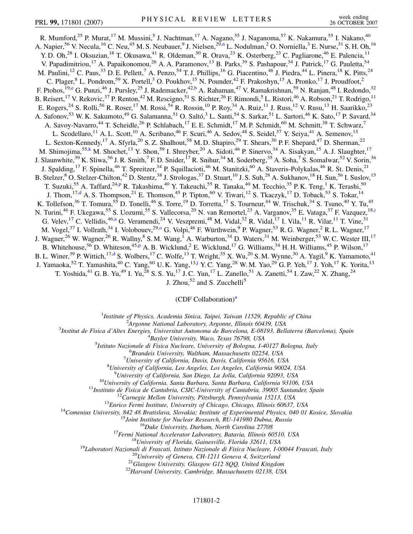<span id="page-1-4"></span><span id="page-1-3"></span><span id="page-1-1"></span>R. Mumford,<sup>25</sup> P. Murat,<sup>17</sup> M. Mussini,<sup>5</sup> J. Nachtman,<sup>17</sup> A. Nagano,<sup>55</sup> J. Naganoma,<sup>57</sup> K. Nakamura,<sup>55</sup> I. Nakano,<sup>40</sup> A. Napier,<sup>56</sup> V. Necula,<sup>16</sup> C. Neu,<sup>45</sup> M. S. Neubauer,<sup>9</sup> J. Nielse[n](#page-6-11),<sup>29,n</sup> L. Nodulman,<sup>2</sup> O. Norniella,<sup>3</sup> E. Nurse,<sup>31</sup> S. H. Oh,<sup>16</sup> Y. D. Oh,<sup>28</sup> I. Oksuzian,<sup>18</sup> T. Okusawa,<sup>41</sup> R. Oldeman,<sup>30</sup> R. Orava,<sup>23</sup> K. Osterberg,<sup>23</sup> C. Pagliarone,<sup>46</sup> E. Palencia,<sup>11</sup> V. Papadimitriou,<sup>17</sup> A. Papaikonomou,<sup>26</sup> A. A. Paramonov,<sup>13</sup> B. Parks,<sup>39</sup> S. Pashapour,<sup>34</sup> J. Patrick,<sup>17</sup> G. Pauletta,<sup>54</sup> M. Paulini,  $^{12}$  C. Paus,  $^{33}$  D. E. Pellett,  $^7$  A. Penzo,  $^{54}$  T. J. Phillips,  $^{16}$  G. Piacentino,  $^{46}$  J. Piedra,  $^{44}$  L. Pinera,  $^{18}$  K. Pitts,  $^{24}$ C. Plager,<sup>8</sup> L. Pondrom,<sup>59</sup> X. Portell,<sup>3</sup> O. Poukhov,<sup>15</sup> N. Pounder,<sup>42</sup> F. Prakoshyn,<sup>15</sup> A. Pronko,<sup>17</sup> J. Proudfoot,<sup>2</sup> F. Ptohos, <sup>19,[e](#page-6-12)</sup> G. Punzi, <sup>46</sup> J. Pursley, <sup>25</sup> J. Rademacker, <sup>42[,b](#page-6-6)</sup> A. Rahaman, <sup>47</sup> V. Ramakrishnan, <sup>59</sup> N. Ranjan, <sup>48</sup> I. Redondo, <sup>32</sup> B. Reisert, <sup>17</sup> V. Rekovic, <sup>37</sup> P. Renton, <sup>42</sup> M. Rescigno, <sup>51</sup> S. Richter, <sup>26</sup> F. Rimondi, <sup>5</sup> L. Ristori, <sup>46</sup> A. Robson, <sup>21</sup> T. Rodrigo, <sup>11</sup> E. Rogers,<sup>24</sup> S. Rolli,<sup>56</sup> R. Roser,<sup>17</sup> M. Rossi,<sup>54</sup> R. Rossin,<sup>10</sup> P. Roy,<sup>34</sup> A. Ruiz,<sup>11</sup> J. Russ,<sup>12</sup> V. Rusu,<sup>13</sup> H. Saarikko,<sup>23</sup> A. Safonov,<sup>53</sup> W. K. Sakumoto,<sup>49</sup> G. Salamanna,<sup>51</sup> O. Saltó,<sup>3</sup> L. Santi,<sup>54</sup> S. Sarkar,<sup>51</sup> L. Sartori,<sup>46</sup> K. Sato,<sup>17</sup> P. Savard,<sup>34</sup> A. Savoy-Navarro,<sup>44</sup> T. Scheidle,<sup>26</sup> P. Schlabach,<sup>17</sup> E. E. Schmidt,<sup>17</sup> M. P. Schmidt,<sup>60</sup> M. Schmitt,<sup>38</sup> T. Schwarz,<sup>7</sup> L. Scodellaro,<sup>11</sup> A. L. Scott,<sup>10</sup> A. Scribano,<sup>46</sup> F. Scuri,<sup>46</sup> A. Sedov,<sup>48</sup> S. Seidel,<sup>37</sup> Y. Seiya,<sup>41</sup> A. Semenov,<sup>15</sup> L. Sexton-Kennedy,<sup>17</sup> A. Sfyrla,<sup>20</sup> S. Z. Shalhout,<sup>58</sup> M. D. Shapiro,<sup>29</sup> T. Shears,<sup>30</sup> P. F. Shepard,<sup>47</sup> D. Sherman,<sup>22</sup> M. Shimojima,<sup>55[,k](#page-6-13)</sup> M. Shochet,<sup>13</sup> Y. Shon,<sup>59</sup> I. Shreyber,<sup>20</sup> A. Sidoti,<sup>46</sup> P. Sinervo,<sup>34</sup> A. Sisakyan,<sup>15</sup> A. J. Slaughter,<sup>17</sup> J. Slaunwhite,<sup>39</sup> K. Sliwa,<sup>56</sup> J. R. Smith,<sup>7</sup> F. D. Snider,<sup>17</sup> R. Snihur,<sup>34</sup> M. Soderberg,<sup>35</sup> A. Soha,<sup>7</sup> S. Somalwar,<sup>52</sup> V. Sorin,<sup>36</sup> J. Spalding,<sup>17</sup> F. Spinella,<sup>46</sup> T. Spreitzer,<sup>34</sup> P. Squillacioti,<sup>46</sup> M. Stanitzki,<sup>60</sup> A. Staveris-Polykalas,<sup>46</sup> R. St. Denis,<sup>21</sup> B. Stelzer,<sup>8</sup> O. Stelzer-Chilton,<sup>42</sup> D. Stentz,<sup>38</sup> J. Strologas,<sup>37</sup> D. Stuart,<sup>10</sup> J. S. Suh,<sup>28</sup> A. Sukhanov,<sup>18</sup> H. Sun,<sup>56</sup> I. Suslov,<sup>15</sup> T. Suzuki,<su[p](#page-6-14)>55</sup> A. Taffard,<sup>24,p</sup> R. Takashima,<sup>40</sup> Y. Takeuchi,<sup>55</sup> R. Tanaka,<sup>40</sup> M. Tecchio,<sup>35</sup> P. K. Teng,<sup>1</sup> K. Terashi,<sup>50</sup> J. Thom,<sup>17,[d](#page-6-15)</sup> A. S. Thompson,<sup>21</sup> E. Thomson,<sup>45</sup> P. Tipton,<sup>60</sup> V. Tiwari,<sup>12</sup> S. Tkaczyk,<sup>17</sup> D. Toback,<sup>53</sup> S. Tokar,<sup>14</sup> K. Tollefson,<sup>36</sup> T. Tomura,<sup>55</sup> D. Tonelli,<sup>46</sup> S. Torre,<sup>19</sup> D. Torretta,<sup>17</sup> S. Tourneur,<sup>44</sup> W. Trischuk,<sup>34</sup> S. Tsuno,<sup>40</sup> Y. Tu,<sup>45</sup> N. Tur[i](#page-6-1)ni,<sup>46</sup> F. Ukegawa,<sup>55</sup> S. Uozumi,<sup>55</sup> S. Vallecorsa,<sup>20</sup> N. van Remortel,<sup>23</sup> A. Varganov,<sup>35</sup> E. Vataga,<sup>37</sup> F. Vazquez,<sup>18,i</sup> G. Velev, <sup>17</sup> C. Vellidis, <sup>46,[a](#page-6-5)</sup> G. Veramendi, <sup>24</sup> V. Veszpremi, <sup>48</sup> M. Vidal, <sup>32</sup> R. Vidal, <sup>17</sup> I. Vila, <sup>11</sup> R. Vilar, <sup>11</sup> T. Vine, <sup>31</sup> M. Vogel,<sup>37</sup> I. Vollrath,<sup>34</sup> I. Volobouev,<sup>29,0</sup> G. Volpi,<sup>46</sup> F. Würthwein,<sup>9</sup> P. Wagner,<sup>53</sup> R. G. Wagner,<sup>2</sup> R. L. Wagner,<sup>17</sup> J. Wagner,<sup>26</sup> W. Wagner,<sup>26</sup> R. Wallny,<sup>8</sup> S. M. Wang,<sup>1</sup> A. Warburton,<sup>34</sup> D. Waters,<sup>31</sup> M. Weinberger,<sup>53</sup> W. C. Wester III,<sup>17</sup> B. Whitehouse,<sup>56</sup> D. Whiteson,<sup>45[,p](#page-6-14)</sup> A. B. Wicklund,<sup>2</sup> E. Wicklund,<sup>17</sup> G. Williams,<sup>34</sup> H. H. Williams,<sup>45</sup> P. Wilson,<sup>17</sup> B. L. Winer,<sup>39</sup> P. Wittich,<sup>17[,d](#page-6-15)</sup> S. Wolbers,<sup>17</sup> C. Wolfe,<sup>13</sup> T. Wright,<sup>35</sup> X. Wu,<sup>20</sup> S. M. Wynne,<sup>30</sup> A. Yagil,<sup>9</sup> K. Yamamoto,<sup>41</sup> J. Yamaoka,<sup>52</sup> T. Yamashita,<sup>40</sup> C. Yang,<sup>60</sup> U.K. Yang,<sup>13,[j](#page-6-16)</sup> Y.C. Yang,<sup>28</sup> W.M. Yao,<sup>29</sup> G.P. Yeh,<sup>17</sup> J. Yoh,<sup>17</sup> K. Yorita,<sup>13</sup> T. Yoshida,<sup>41</sup> G. B. Yu,<sup>49</sup> I. Yu,<sup>28</sup> S. S. Yu,<sup>17</sup> J. C. Yun,<sup>17</sup> L. Zanello,<sup>51</sup> A. Zanetti,<sup>54</sup> I. Zaw,<sup>22</sup> X. Zhang,<sup>24</sup>

J. Zhou, $52$  and S. Zucchelli<sup>5</sup>

 $(CDF$  Coll[a](#page-6-5)boration)<sup>a</sup>

<sup>1</sup>*Institute of Physics, Academia Sinica, Taipei, Taiwan 11529, Republic of China*<br><sup>2</sup><sup>4</sup> *League Mational Laboratory, Argonna Illinois 60430, USA* 

<span id="page-1-5"></span><span id="page-1-2"></span><span id="page-1-0"></span>*Argonne National Laboratory, Argonne, Illinois 60439, USA*<br><sup>3</sup> *Argonne National Laboratory, Argonne, Illinois 60439, USA*<sup>3</sup>

*Institut de Fisica d'Altes Energies, Universitat Autonoma de Barcelona, E-08193, Bellaterra (Barcelona), Spain* <sup>4</sup>

*Baylor University, Waco, Texas 76798, USA* <sup>5</sup>

<sup>5</sup>Istituto Nazionale di Fisica Nucleare, University of Bologna, I-40127 Bologna, Italy

*Brandeis University, Waltham, Massachusetts 02254, USA* <sup>7</sup>

*University of California, Davis, Davis, California 95616, USA* <sup>8</sup>

*University of California, Los Angeles, Los Angeles, California 90024, USA* <sup>9</sup>

<sup>9</sup>University of California, San Diego, La Jolla, California 92093, USA<br>
<sup>10</sup>University of California, Santa Barbara, Santa Barbara, California 93106, USA<br>
<sup>11</sup>Instituto de Eisica de Cantabria, CSIC-University of Cantabri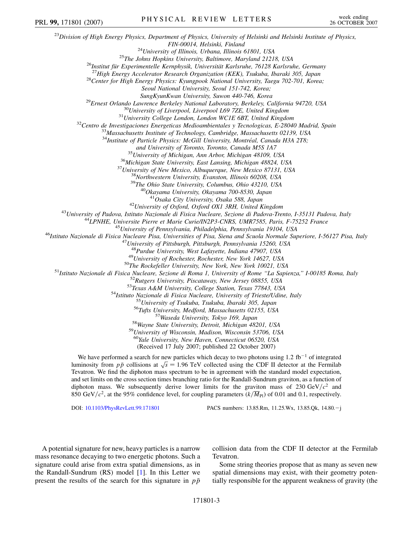<sup>23</sup>*Division of High Energy Physics, Department of Physics, University of Helsinki and Helsinki Institute of Physics,* <sup>24</sup>University of Illinois, Urbana, Illinois 61801, USA<br><sup>25</sup>The Johns Hopkins University, Baltimore, Maryland 21218, USA<br><sup>26</sup>Institut für Experimentelle Kernphysik, Universität Karlsruhe, 76128 Karlsruhe, Germany<br><sup>27</sup>High *Seoul National University, Seoul 151-742, Korea;* <sup>29</sup>Ernest Orlando Lawrence Berkeley National Laboratory, Berkeley, California 94720, USA<br><sup>30</sup>University of Liverpool, Liverpool L69 7ZE, United Kingdom<br><sup>31</sup>University College London, London WCIE 6BT, United Kingdom<br><sup>32</sup>C <sup>34</sup>Institute of Particle Physics: McGill University, Montréal, Canada H3A 2T8; and University of Toronto, Toronto, Canada M5S 1A7<br><sup>35</sup> University of Michigan, Ann Arbor, Michigan 48109, USA<br><sup>36</sup> Michigan State University, East Lansing, Michigan 48824, USA<br><sup>37</sup> University of New Mexico, Albuquerque, N <sup>42</sup>University of Dxford, Oxford OX1 3RH, United Kingdom<br><sup>43</sup>University of Padova, Istituto Nazionale di Fisica Nucleare, Sezione di Padova-Trento, I-35131 Padova, Italy<br><sup>44</sup>LPNHE, Universite Pierre et Marie Curie/IN2P3-C <sup>48</sup>Purdue University, West Lafayette, Indiana 47907, USA<br><sup>49</sup>University of Rochester, Rochester, New York 14627, USA<br><sup>49</sup>University of Rochester, Rochester, New York 14627, USA<br><sup>51</sup>Istituto Nazionale di Fisica Nucleare, <sup>60</sup>*Yale University, New Haven, Connecticut 06520, USA* (Received 17 July 2007; published 22 October 2007) We have performed a search for new particles which decay to two photons using 1.2 fb<sup>-1</sup> of integrated we have performed a search for hew particles which decay to two photons using 1.2 for the Hermilab luminosity from  $p\bar{p}$  collisions at  $\sqrt{s} = 1.96$  TeV collected using the CDF II detector at the Fermilab Tevatron. We find the diphoton mass spectrum to be in agreement with the standard model expectation, and set limits on the cross section times branching ratio for the Randall-Sundrum graviton, as a function of diphoton mass. We subsequently derive lower limits for the graviton mass of 230 GeV/ $c^2$  and PRL 99, 171801 (2007) PHYSICAL REVIEW LETTERS week ending

DOI: [10.1103/PhysRevLett.99.171801](http://dx.doi.org/10.1103/PhysRevLett.99.171801) PACS numbers: 13.85.Rm, 11.25.Wx, 13.85.Qk, 14.80.j

A potential signature for new, heavy particles is a narrow mass resonance decaying to two energetic photons. Such a signature could arise from extra spatial dimensions, as in the Randall-Sundrum (RS) model [[1\]](#page-6-17). In this Letter we present the results of the search for this signature in  $p\bar{p}$  collision data from the CDF II detector at the Fermilab Tevatron.

Some string theories propose that as many as seven new spatial dimensions may exist, with their geometry potentially responsible for the apparent weakness of gravity (the

850 GeV/ $c^2$ , at the 95% confidence level, for coupling parameters  $(k/\overline{M}_{\text{Pl}})$  of 0.01 and 0.1, respectively.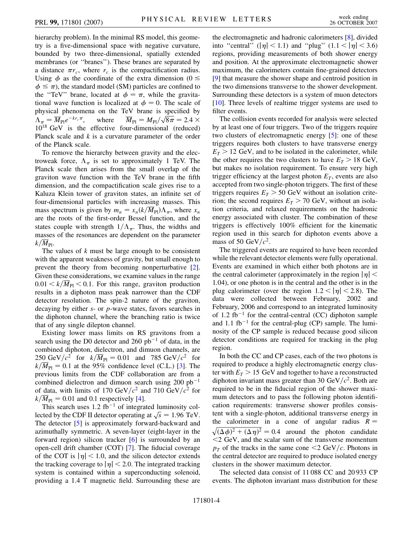hierarchy problem). In the minimal RS model, this geometry is a five-dimensional space with negative curvature, bounded by two three-dimensional, spatially extended membranes (or ''branes''). These branes are separated by a distance  $\pi r_c$ , where  $r_c$  is the compactification radius. Using  $\phi$  as the coordinate of the extra dimension (0  $\leq$  $\phi \leq \pi$ ), the standard model (SM) particles are confined to the "TeV" brane, located at  $\phi = \pi$ , while the gravitational wave function is localized at  $\phi = 0$ . The scale of physical phenomena on the TeV brane is specified by physical phenomena on the TeV brane is specified by<br>  $\Lambda_{\pi} = \overline{M}_{\text{Pl}} e^{-k r_c \pi}$ , where  $\overline{M}_{\text{Pl}} = M_{\text{Pl}} / \sqrt{8 \pi} = 2.4 \times$ 10<sup>18</sup> GeV is the effective four-dimensional (reduced) Planck scale and *k* is a curvature parameter of the order of the Planck scale.

To remove the hierarchy between gravity and the electroweak force,  $\Lambda_{\pi}$  is set to approximately 1 TeV. The Planck scale then arises from the small overlap of the graviton wave function with the TeV brane in the fifth dimension, and the compactification scale gives rise to a Kaluza Klein tower of graviton states, an infinite set of four-dimensional particles with increasing masses. This mass spectrum is given by  $m_n = x_n (k / \overline{M}_{\text{Pl}}) \Lambda_{\pi}$ , where  $x_n$ are the roots of the first-order Bessel function, and the states couple with strength  $1/\Lambda_{\pi}$ . Thus, the widths and masses of the resonances are dependent on the parameter  $k/M_{\rm Pl}$ .

The values of *k* must be large enough to be consistent with the apparent weakness of gravity, but small enough to prevent the theory from becoming nonperturbative [[2\]](#page-6-18). Given these considerations, we examine values in the range  $0.01 \le k/\overline{M}_{\text{Pl}} \le 0.1$ . For this range, graviton production results in a diphoton mass peak narrower than the CDF detector resolution. The spin-2 nature of the graviton, decaying by either *s*- or *p*-wave states, favors searches in the diphoton channel, where the branching ratio is twice that of any single dilepton channel.

Existing lower mass limits on RS gravitons from a search using the D0 detector and 260  $pb^{-1}$  of data, in the combined diphoton, dielectron, and dimuon channels, are  $250 \text{ GeV}/c^2$  for  $k/\overline{M}_{\text{Pl}} = 0.01$  and 785 GeV/ $c^2$  for  $k/\overline{M}_{\text{Pl}} = 0.1$  at the 95% confidence level (C.L.) [[3\]](#page-6-19). The previous limits from the CDF collaboration are from a combined dielectron and dimuon search using  $200$  pb<sup>-1</sup> of data, with limits of 170 GeV/ $c^2$  and 710 GeV/ $c^2$  for  $k/\overline{M}_{\text{Pl}} = 0.01$  and 0.1 respectively [[4](#page-6-20)].

This search uses  $1.2$  fb<sup>-1</sup> of integrated luminosity col-This search uses 1.2 to or integrated funniosity collected by the CDF II detector operating at  $\sqrt{s}$  = 1.96 TeV. The detector [\[5](#page-6-21)] is approximately forward-backward and azimuthally symmetric. A seven-layer (eight-layer in the forward region) silicon tracker [[6](#page-6-22)] is surrounded by an open-cell drift chamber (COT) [\[7](#page-6-23)]. The fiducial coverage of the COT is  $|\eta|$  < 1.0, and the silicon detector extends the tracking coverage to  $|\eta|$  < 2.0. The integrated tracking system is contained within a superconducting solenoid, providing a 1.4 T magnetic field. Surrounding these are the electromagnetic and hadronic calorimeters [[8](#page-6-24)], divided into "central" ( $|\eta|$  < 1.1) and "plug" (1.1 <  $|\eta|$  < 3.6) regions, providing measurements of both shower energy and position. At the approximate electromagnetic shower maximum, the calorimeters contain fine-grained detectors [\[9\]](#page-6-25) that measure the shower shape and centroid position in the two dimensions transverse to the shower development. Surrounding these detectors is a system of muon detectors [\[10\]](#page-6-26). Three levels of realtime trigger systems are used to filter events.

The collision events recorded for analysis were selected by at least one of four triggers. Two of the triggers require two clusters of electromagnetic energy [[5](#page-6-21)]: one of these triggers requires both clusters to have transverse energy  $E_T$  > 12 GeV, and to be isolated in the calorimeter, while the other requires the two clusters to have  $E_T > 18$  GeV, but makes no isolation requirement. To ensure very high trigger efficiency at the largest photon  $E_T$ , events are also accepted from two single-photon triggers. The first of these triggers requires  $E_T > 50$  GeV without an isolation criterion; the second requires  $E_T > 70$  GeV, without an isolation criteria, and relaxed requirements on the hadronic energy associated with cluster. The combination of these triggers is effectively 100% efficient for the kinematic region used in this search for diphoton events above a mass of 50 GeV/ $c^2$ .

The triggered events are required to have been recorded while the relevant detector elements were fully operational. Events are examined in which either both photons are in the central calorimeter (approximately in the region  $|\eta|$  < 1*:*04), or one photon is in the central and the other is in the plug calorimeter (over the region  $1.2 < |\eta| < 2.8$ ). The data were collected between February, 2002 and February, 2006 and correspond to an integrated luminosity of 1.2 fb<sup>-1</sup> for the central-central (CC) diphoton sample and 1.1 fb<sup>-1</sup> for the central-plug (CP) sample. The luminosity of the CP sample is reduced because good silicon detector conditions are required for tracking in the plug region.

In both the CC and CP cases, each of the two photons is required to produce a highly electromagnetic energy cluster with  $E_T > 15$  GeV and together to have a reconstructed diphoton invariant mass greater than 30  $GeV/c^2$ . Both are required to be in the fiducial region of the shower maximum detectors and to pass the following photon identification requirements: transverse shower profiles consistent with a single-photon, additional transverse energy in the calorimeter in a cone of angular radius  $R =$  $\sqrt{(\Delta \phi)^2 + (\Delta \eta)^2} = 0.4$  around the photon candidate *<*2 GeV, and the scalar sum of the transverse momentum  $p_T$  of the tracks in the same cone  $\langle 2 \text{ GeV}/c \rangle$ . Photons in the central detector are required to produce isolated energy clusters in the shower maximum detector.

The selected data consist of 11 088 CC and 20 933 CP events. The diphoton invariant mass distribution for these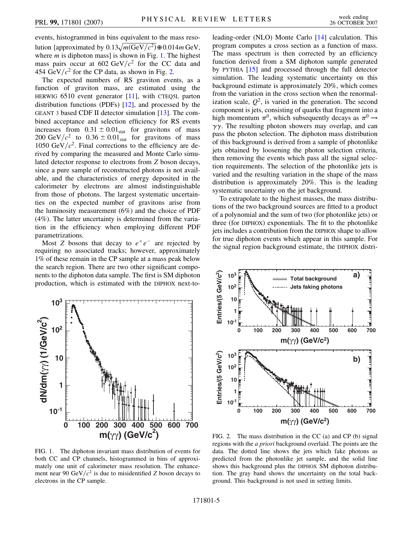events, histogrammed in bins equivalent to the mass resolution [approximated by  $0.13\sqrt{m(\text{GeV}/c^2)}\oplus 0.014m\text{ GeV}$ , where *m* is diphoton mass] is shown in Fig. [1](#page-4-0). The highest mass pairs occur at  $602 \text{ GeV}/c^2$  for the CC data and 454 GeV $/c^2$  for the CP data, as shown in Fig. [2.](#page-4-1)

The expected numbers of RS graviton events, as a function of graviton mass, are estimated using the HERWIG 6510 event generator [[11](#page-6-27)], with CTEQ5L parton distribution functions (PDFs) [[12](#page-6-28)], and processed by the GEANT 3 based CDF II detector simulation [[13](#page-6-29)]. The combined acceptance and selection efficiency for RS events increases from  $0.31 \pm 0.01_{stat}$  for gravitons of mass 200 GeV/ $c^2$  to 0.36  $\pm$  0.01<sub>stat</sub> for gravitons of mass 1050 GeV/ $c^2$ . Final corrections to the efficiency are derived by comparing the measured and Monte Carlo simulated detector response to electrons from *Z* boson decays, since a pure sample of reconstructed photons is not available, and the characteristics of energy deposited in the calorimeter by electrons are almost indistinguishable from those of photons. The largest systematic uncertainties on the expected number of gravitons arise from the luminosity measurement (6%) and the choice of PDF (4%). The latter uncertainty is determined from the variation in the efficiency when employing different PDF parametrizations.

Most *Z* bosons that decay to  $e^+e^-$  are rejected by requiring no associated tracks; however, approximately 1% of these remain in the CP sample at a mass peak below the search region. There are two other significant components to the diphoton data sample. The first is SM diphoton production, which is estimated with the DIPHOX next-to-

<span id="page-4-0"></span>

FIG. 1. The diphoton invariant mass distribution of events for both CC and CP channels, histogrammed in bins of approximately one unit of calorimeter mass resolution. The enhancement near 90 GeV/ $c^2$  is due to misidentified *Z* boson decays to electrons in the CP sample.

leading-order (NLO) Monte Carlo [\[14\]](#page-6-30) calculation. This program computes a cross section as a function of mass. The mass spectrum is then corrected by an efficiency function derived from a SM diphoton sample generated by PYTHIA [[15](#page-6-31)] and processed through the full detector simulation. The leading systematic uncertainty on this background estimate is approximately 20%, which comes from the variation in the cross section when the renormalization scale,  $Q^2$ , is varied in the generation. The second component is jets, consisting of quarks that fragment into a high momentum  $\pi^0$ , which subsequently decays as  $\pi^0 \rightarrow$  $\gamma\gamma$ . The resulting photon showers may overlap, and can pass the photon selection. The diphoton mass distribution of this background is derived from a sample of photonlike jets obtained by loosening the photon selection criteria, then removing the events which pass all the signal selection requirements. The selection of the photonlike jets is varied and the resulting variation in the shape of the mass distribution is approximately 20%. This is the leading systematic uncertainty on the jet background.

To extrapolate to the highest masses, the mass distributions of the two background sources are fitted to a product of a polynomial and the sum of two (for photonlike jets) or three (for DIPHOX) exponentials. The fit to the photonlike jets includes a contribution from the DIPHOX shape to allow for true diphoton events which appear in this sample. For the signal region background estimate, the DIPHOX distri-

<span id="page-4-1"></span>

FIG. 2. The mass distribution in the CC (a) and CP (b) signal regions with the *a priori* background overlaid. The points are the data. The dotted line shows the jets which fake photons as predicted from the photonlike jet sample, and the solid line shows this background plus the DIPHOX SM diphoton distribution. The gray band shows the uncertainty on the total background. This background is not used in setting limits.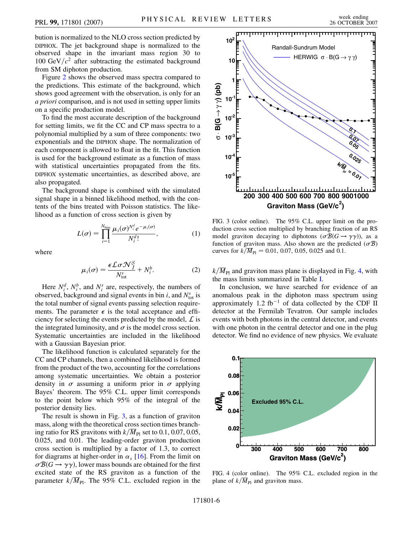bution is normalized to the NLO cross section predicted by DIPHOX. The jet background shape is normalized to the observed shape in the invariant mass region 30 to 100 GeV $/c^2$  after subtracting the estimated background from SM diphoton production.

Figure [2](#page-4-1) shows the observed mass spectra compared to the predictions. This estimate of the background, which shows good agreement with the observation, is only for an *a priori* comparison, and is not used in setting upper limits on a specific production model.

To find the most accurate description of the background for setting limits, we fit the CC and CP mass spectra to a polynomial multiplied by a sum of three components: two exponentials and the DIPHOX shape. The normalization of each component is allowed to float in the fit. This function is used for the background estimate as a function of mass with statistical uncertainties propagated from the fits. DIPHOX systematic uncertainties, as described above, are also propagated.

The background shape is combined with the simulated signal shape in a binned likelihood method, with the contents of the bins treated with Poisson statistics. The likelihood as a function of cross section is given by

$$
L(\sigma) = \prod_{i=1}^{N_{\text{bins}}} \frac{\mu_i(\sigma)^{N_i^d} e^{-\mu_i(\sigma)}}{N_i^d!},\tag{1}
$$

where

$$
\mu_i(\sigma) = \frac{\epsilon \mathcal{L}\sigma \mathcal{N}_I^S}{N_{\text{tot}}^s} + N_i^b. \tag{2}
$$

Here  $N_i^d$ ,  $N_i^b$ , and  $N_i^s$  are, respectively, the numbers of observed, background and signal events in bin  $i$ , and  $N_{\text{tot}}^s$  is the total number of signal events passing selection requirements. The parameter  $\epsilon$  is the total acceptance and efficiency for selecting the events predicted by the model,  $\mathcal{L}$  is the integrated luminosity, and  $\sigma$  is the model cross section. Systematic uncertainties are included in the likelihood with a Gaussian Bayesian prior.

The likelihood function is calculated separately for the CC and CP channels, then a combined likelihood is formed from the product of the two, accounting for the correlations among systematic uncertainties. We obtain a posterior density in  $\sigma$  assuming a uniform prior in  $\sigma$  applying Bayes' theorem. The 95% C.L. upper limit corresponds to the point below which 95% of the integral of the posterior density lies.

The result is shown in Fig. [3,](#page-5-0) as a function of graviton mass, along with the theoretical cross section times branching ratio for RS gravitons with  $k/\overline{M}_{\text{Pl}}$  set to 0.1, 0.07, 0.05, 0.025, and 0.01. The leading-order graviton production cross section is multiplied by a factor of 1.3, to correct for diagrams at higher-order in  $\alpha_s$  [[16](#page-6-32)]. From the limit on  $\sigma \mathcal{B}(G \to \gamma \gamma)$ , lower mass bounds are obtained for the first excited state of the RS graviton as a function of the parameter  $k/\overline{M}_{\text{Pl}}$ . The 95% C.L. excluded region in the

<span id="page-5-0"></span>

FIG. 3 (color online). The 95% C.L. upper limit on the production cross section multiplied by branching fraction of an RS model graviton decaying to diphotons  $(\sigma \mathcal{B}(G \to \gamma \gamma))$ , as a function of graviton mass. Also shown are the predicted  $(\sigma \mathcal{B})$ curves for  $k/\overline{M}_{\text{Pl}} = 0.01, 0.07, 0.05, 0.025$  and 0.1.

 $k/\overline{M}_{\text{Pl}}$  and graviton mass plane is displayed in Fig. [4](#page-5-1), with the mass limits summarized in Table [I](#page-6-33).

In conclusion, we have searched for evidence of an anomalous peak in the diphoton mass spectrum using approximately 1.2 fb<sup>-1</sup> of data collected by the CDF II detector at the Fermilab Tevatron. Our sample includes events with both photons in the central detector, and events with one photon in the central detector and one in the plug detector. We find no evidence of new physics. We evaluate

<span id="page-5-1"></span>

FIG. 4 (color online). The 95% C.L. excluded region in the plane of  $k/\overline{M}_{\text{Pl}}$  and graviton mass.